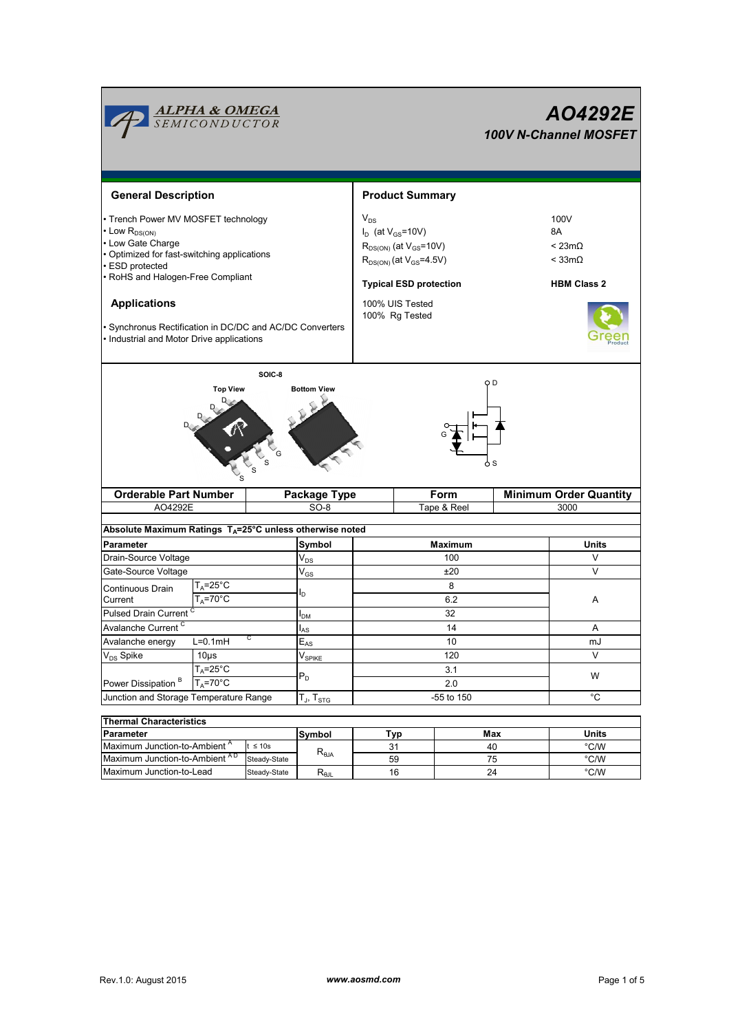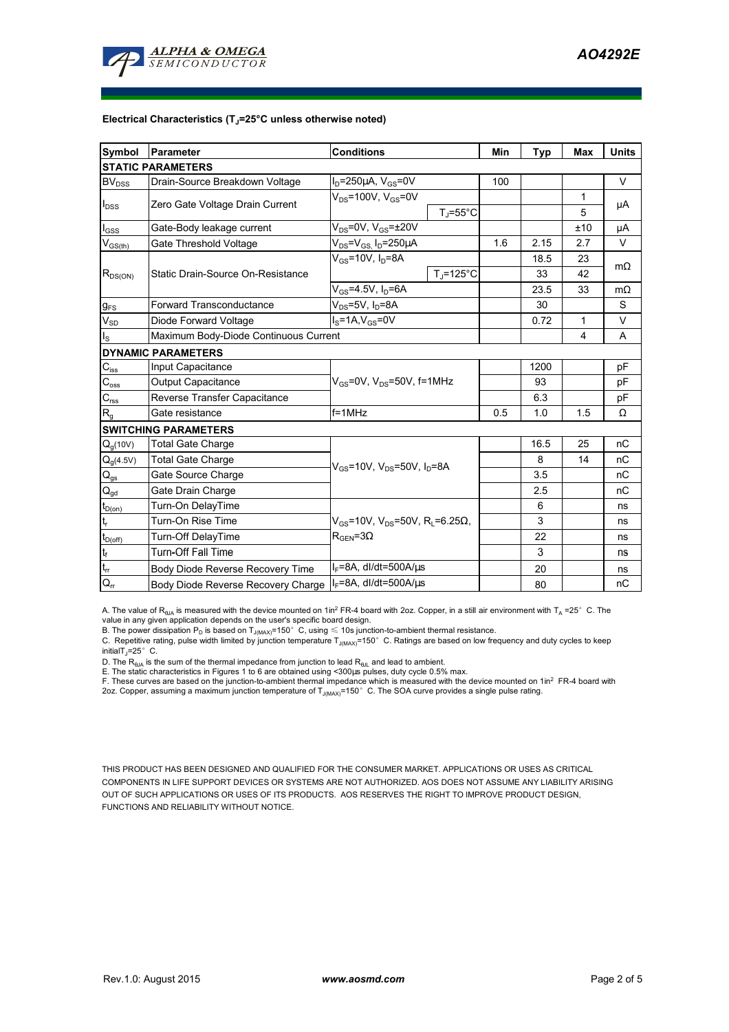

#### **Electrical Characteristics (TJ=25°C unless otherwise noted)**

| Symbol                                 | Parameter                             | <b>Conditions</b>                                              | Min | <b>Typ</b> | Max | <b>Units</b> |
|----------------------------------------|---------------------------------------|----------------------------------------------------------------|-----|------------|-----|--------------|
| <b>STATIC PARAMETERS</b>               |                                       |                                                                |     |            |     |              |
| <b>BV</b> <sub>DSS</sub>               | Drain-Source Breakdown Voltage        | $I_D = 250 \mu A$ , $V_{GS} = 0V$                              | 100 |            |     | V            |
| $I_{DSS}$                              | Zero Gate Voltage Drain Current       | $V_{DS}$ =100V, $V_{GS}$ =0V                                   |     |            | 1   |              |
|                                        |                                       | $T_{J}$ =55°C                                                  |     |            | 5   | μA           |
| $I_{\rm GSS}$                          | Gate-Body leakage current             | $V_{DS}$ =0V, $V_{GS}$ = $\pm$ 20V                             |     |            | ±10 | μA           |
| $V_{GS(th)}$                           | Gate Threshold Voltage                | $V_{DS} = V_{GS}$ , $I_D = 250 \mu A$                          | 1.6 | 2.15       | 2.7 | V            |
| $R_{DS(ON)}$                           | Static Drain-Source On-Resistance     | $V_{gs}$ =10V, $I_{p}$ =8A                                     |     | 18.5       | 23  | $m\Omega$    |
|                                        |                                       | $T_{\rm J}$ =125°C                                             |     | 33         | 42  |              |
|                                        |                                       | $V_{GS} = 4.5V, I_D = 6A$                                      |     | 23.5       | 33  | $m\Omega$    |
| $g_{FS}$                               | <b>Forward Transconductance</b>       | $V_{DS}$ =5V, $I_D$ =8A                                        |     | 30         |     | S            |
| $V_{SD}$                               | Diode Forward Voltage                 | $I_S = 1A$ , $V_{GS} = 0V$                                     |     | 0.72       | 1   | V            |
| $I_{\rm S}$                            | Maximum Body-Diode Continuous Current |                                                                |     |            | 4   | A            |
| <b>DYNAMIC PARAMETERS</b>              |                                       |                                                                |     |            |     |              |
| $C_{\text{iss}}$                       | Input Capacitance                     |                                                                |     | 1200       |     | pF           |
| $C_{\text{oss}}$                       | Output Capacitance                    | $V_{GS}$ =0V, $V_{DS}$ =50V, f=1MHz                            |     | 93         |     | pF           |
| $\mathbf{C}_{\text{rss}}$              | Reverse Transfer Capacitance          |                                                                |     | 6.3        |     | pF           |
| $R_{g}$                                | Gate resistance                       | $f = 1$ MHz                                                    | 0.5 | 1.0        | 1.5 | Ω            |
| <b>SWITCHING PARAMETERS</b>            |                                       |                                                                |     |            |     |              |
| $Q_q(10V)$                             | <b>Total Gate Charge</b>              |                                                                |     | 16.5       | 25  | nC           |
| $Q_g(4.5V)$                            | <b>Total Gate Charge</b>              | $V_{\text{GS}}$ =10V, $V_{\text{DS}}$ =50V, $I_{\text{D}}$ =8A |     | 8          | 14  | nC           |
| $\mathsf{Q}_{\underline{\mathsf{gs}}}$ | Gate Source Charge                    |                                                                |     | 3.5        |     | nC           |
| $\mathsf{Q}_{\underline{\mathsf{gd}}}$ | Gate Drain Charge                     |                                                                |     | 2.5        |     | nC           |
| $t_{D(0n)}$                            | Turn-On DelayTime                     |                                                                |     | 6          |     | ns           |
| lt,                                    | Turn-On Rise Time                     | $V_{GS}$ =10V, V <sub>DS</sub> =50V, R <sub>L</sub> =6.25Ω,    |     | 3          |     | ns           |
| $t_{D(off)}$                           | Turn-Off DelayTime                    | $R_{\text{GEN}} = 3\Omega$                                     |     | 22         |     | ns           |
| $\mathbf{t}_\text{f}$                  | <b>Turn-Off Fall Time</b>             |                                                                |     | 3          |     | ns           |
| $t_{\rm ff}$                           | Body Diode Reverse Recovery Time      | $I_F = 8A$ , dl/dt=500A/ $\mu$ s                               |     | 20         |     | ns           |
| $Q_{rr}$                               | Body Diode Reverse Recovery Charge    | I <sub>F</sub> =8A, dl/dt=500A/μs                              |     | 80         |     | nC           |

A. The value of R<sub>BJA</sub> is measured with the device mounted on 1in<sup>2</sup> FR-4 board with 2oz. Copper, in a still air environment with T<sub>A</sub> =25° C. The value in any given application depends on the user's specific board design.

B. The power dissipation  ${\sf P}_{\sf D}$  is based on  ${\sf T}_{\sf J(MAX)}$ =150 $^\circ\,$  C, using  $\leqslant$  10s junction-to-ambient thermal resistance.

C. Repetitive rating, pulse width limited by junction temperature T<sub>J(MAX)</sub>=150°C. Ratings are based on low frequency and duty cycles to keep

initialT $\overline{I}$ =25° C.

D. The R<sub>®JA</sub> is the sum of the thermal impedance from junction to lead R<sub>®JL</sub> and lead to ambient.<br>E. The static characteristics in Figures 1 to 6 are obtained using <300µs pulses, duty cycle 0.5% max.<br>F. These curves ar 2oz. Copper, assuming a maximum junction temperature of  $T_{J(MAX)}$ =150°C. The SOA curve provides a single pulse rating.

THIS PRODUCT HAS BEEN DESIGNED AND QUALIFIED FOR THE CONSUMER MARKET. APPLICATIONS OR USES AS CRITICAL COMPONENTS IN LIFE SUPPORT DEVICES OR SYSTEMS ARE NOT AUTHORIZED. AOS DOES NOT ASSUME ANY LIABILITY ARISING OUT OF SUCH APPLICATIONS OR USES OF ITS PRODUCTS. AOS RESERVES THE RIGHT TO IMPROVE PRODUCT DESIGN, FUNCTIONS AND RELIABILITY WITHOUT NOTICE.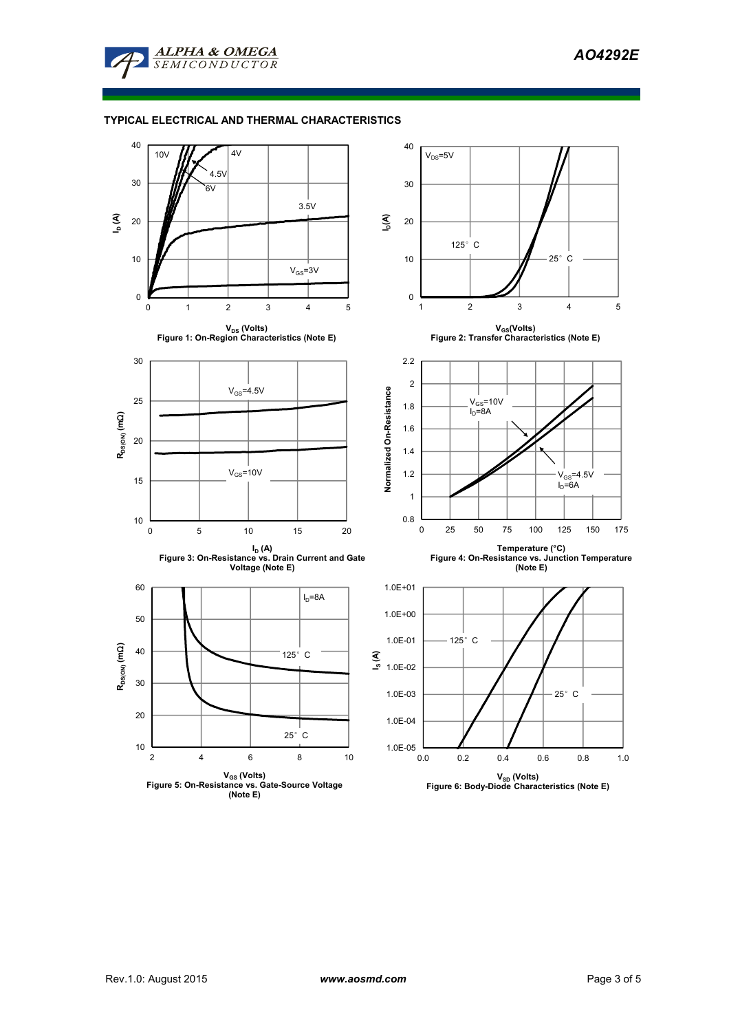

ALPHA & OMEGA **SEMICONDUCTOR** 

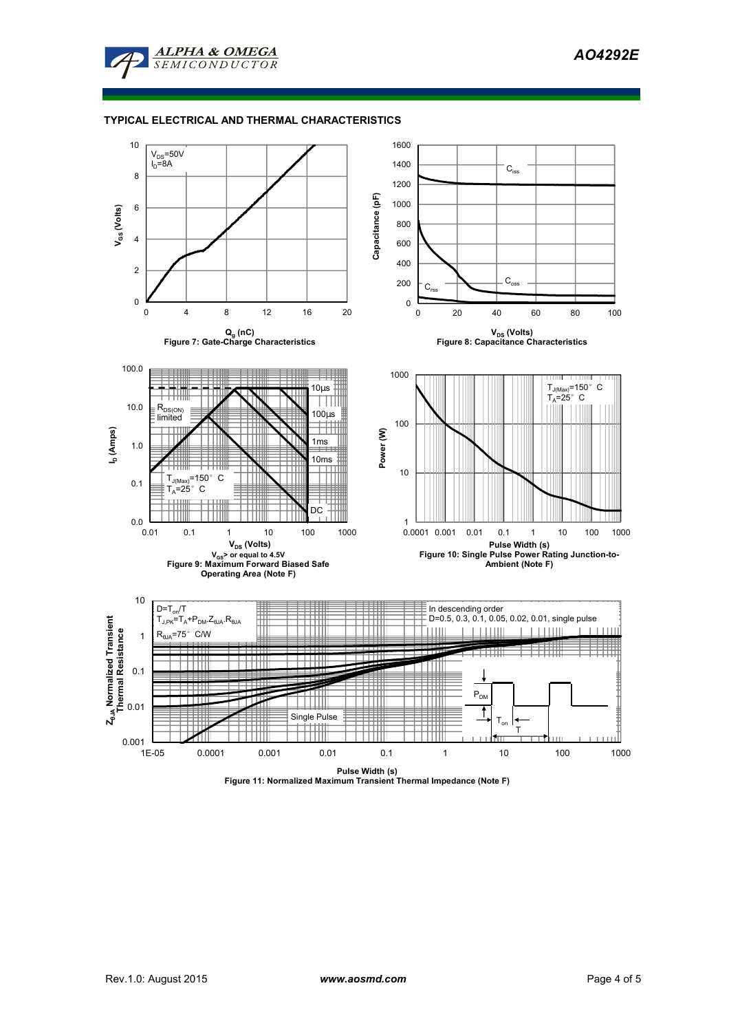

#### **TYPICAL ELECTRICAL AND THERMAL CHARACTERISTICS**